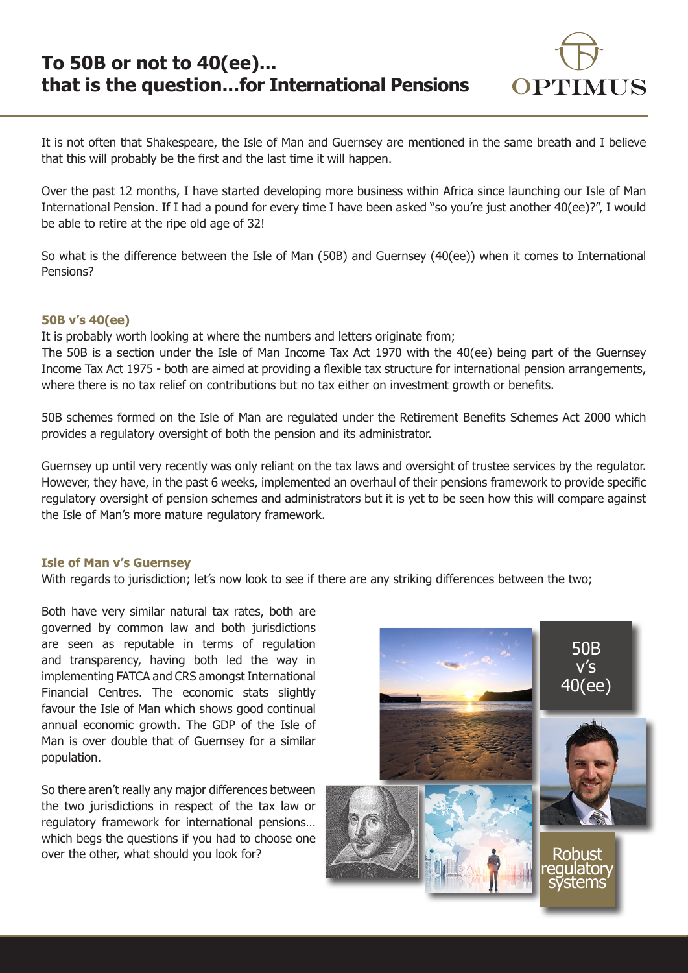

It is not often that Shakespeare, the Isle of Man and Guernsey are mentioned in the same breath and I believe that this will probably be the first and the last time it will happen.

Over the past 12 months, I have started developing more business within Africa since launching our Isle of Man International Pension. If I had a pound for every time I have been asked "so you're just another 40(ee)?", I would be able to retire at the ripe old age of 32!

So what is the difference between the Isle of Man (50B) and Guernsey (40(ee)) when it comes to International Pensions?

# **50B v's 40(ee)**

It is probably worth looking at where the numbers and letters originate from;

The 50B is a section under the Isle of Man Income Tax Act 1970 with the 40(ee) being part of the Guernsey Income Tax Act 1975 - both are aimed at providing a flexible tax structure for international pension arrangements, where there is no tax relief on contributions but no tax either on investment growth or benefits.

50B schemes formed on the Isle of Man are regulated under the Retirement Benefits Schemes Act 2000 which provides a regulatory oversight of both the pension and its administrator.

Guernsey up until very recently was only reliant on the tax laws and oversight of trustee services by the regulator. However, they have, in the past 6 weeks, implemented an overhaul of their pensions framework to provide specific regulatory oversight of pension schemes and administrators but it is yet to be seen how this will compare against the Isle of Man's more mature regulatory framework.

## **Isle of Man v's Guernsey**

With regards to jurisdiction; let's now look to see if there are any striking differences between the two;

Both have very similar natural tax rates, both are governed by common law and both jurisdictions are seen as reputable in terms of regulation and transparency, having both led the way in implementing FATCA and CRS amongst International Financial Centres. The economic stats slightly favour the Isle of Man which shows good continual annual economic growth. The GDP of the Isle of Man is over double that of Guernsey for a similar population.

So there aren't really any major differences between the two jurisdictions in respect of the tax law or regulatory framework for international pensions… which begs the questions if you had to choose one over the other, what should you look for?